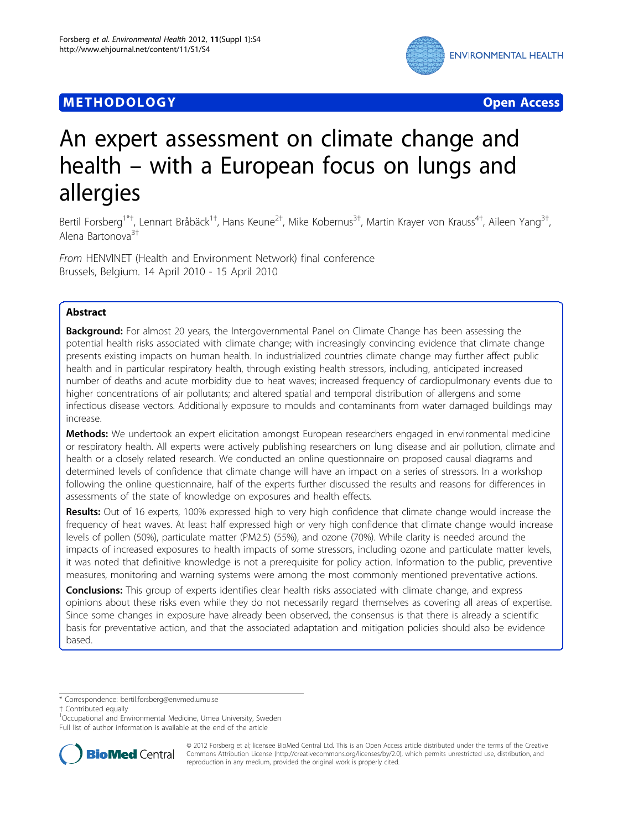# **METHODOLOGY Open Access**



# An expert assessment on climate change and health – with a European focus on lungs and allergies

Bertil Forsberg<sup>1\*†</sup>, Lennart Bråbäck<sup>1†</sup>, Hans Keune<sup>2†</sup>, Mike Kobernus<sup>3†</sup>, Martin Krayer von Krauss<sup>4†</sup>, Aileen Yang<sup>3†</sup> , Alena Bartonova3†

From HENVINET (Health and Environment Network) final conference Brussels, Belgium. 14 April 2010 - 15 April 2010

# Abstract

**Background:** For almost 20 years, the Intergovernmental Panel on Climate Change has been assessing the potential health risks associated with climate change; with increasingly convincing evidence that climate change presents existing impacts on human health. In industrialized countries climate change may further affect public health and in particular respiratory health, through existing health stressors, including, anticipated increased number of deaths and acute morbidity due to heat waves; increased frequency of cardiopulmonary events due to higher concentrations of air pollutants; and altered spatial and temporal distribution of allergens and some infectious disease vectors. Additionally exposure to moulds and contaminants from water damaged buildings may increase.

Methods: We undertook an expert elicitation amongst European researchers engaged in environmental medicine or respiratory health. All experts were actively publishing researchers on lung disease and air pollution, climate and health or a closely related research. We conducted an online questionnaire on proposed causal diagrams and determined levels of confidence that climate change will have an impact on a series of stressors. In a workshop following the online questionnaire, half of the experts further discussed the results and reasons for differences in assessments of the state of knowledge on exposures and health effects.

Results: Out of 16 experts, 100% expressed high to very high confidence that climate change would increase the frequency of heat waves. At least half expressed high or very high confidence that climate change would increase levels of pollen (50%), particulate matter (PM2.5) (55%), and ozone (70%). While clarity is needed around the impacts of increased exposures to health impacts of some stressors, including ozone and particulate matter levels, it was noted that definitive knowledge is not a prerequisite for policy action. Information to the public, preventive measures, monitoring and warning systems were among the most commonly mentioned preventative actions.

**Conclusions:** This group of experts identifies clear health risks associated with climate change, and express opinions about these risks even while they do not necessarily regard themselves as covering all areas of expertise. Since some changes in exposure have already been observed, the consensus is that there is already a scientific basis for preventative action, and that the associated adaptation and mitigation policies should also be evidence based.

\* Correspondence: [bertil.forsberg@envmed.umu.se](mailto:bertil.forsberg@envmed.umu.se)

Full list of author information is available at the end of the article



© 2012 Forsberg et al; licensee BioMed Central Ltd. This is an Open Access article distributed under the terms of the Creative Bio Med Central Commons Attribution License [\(http://creativecommons.org/licenses/by/2.0](http://creativecommons.org/licenses/by/2.0)), which permits unrestricted use, distribution, and reproduction in any medium, provided the original work is properly cited.

<sup>†</sup> Contributed equally <sup>1</sup>

<sup>&</sup>lt;sup>1</sup>Occupational and Environmental Medicine, Umea University, Sweden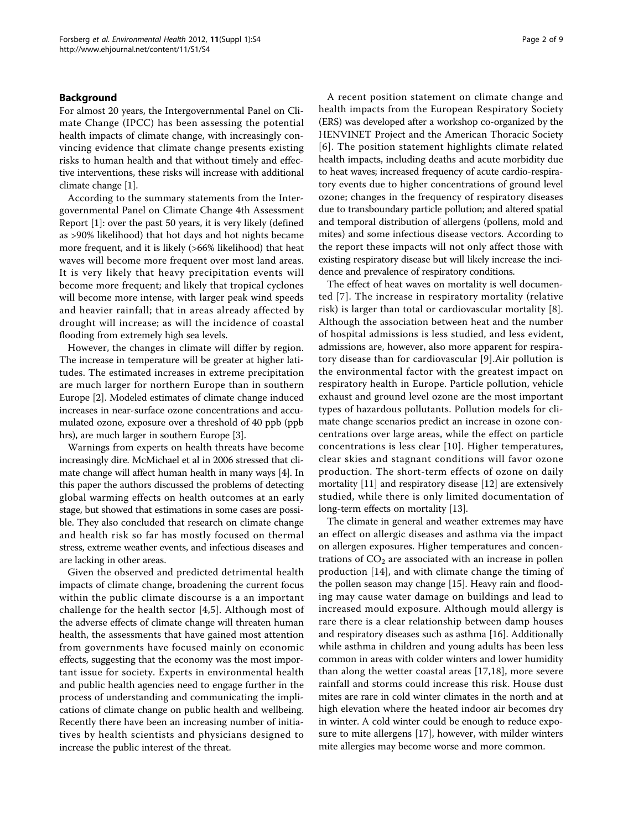# Background

For almost 20 years, the Intergovernmental Panel on Climate Change (IPCC) has been assessing the potential health impacts of climate change, with increasingly convincing evidence that climate change presents existing risks to human health and that without timely and effective interventions, these risks will increase with additional climate change [[1\]](#page-7-0).

According to the summary statements from the Intergovernmental Panel on Climate Change 4th Assessment Report [\[1\]](#page-7-0): over the past 50 years, it is very likely (defined as >90% likelihood) that hot days and hot nights became more frequent, and it is likely (>66% likelihood) that heat waves will become more frequent over most land areas. It is very likely that heavy precipitation events will become more frequent; and likely that tropical cyclones will become more intense, with larger peak wind speeds and heavier rainfall; that in areas already affected by drought will increase; as will the incidence of coastal flooding from extremely high sea levels.

However, the changes in climate will differ by region. The increase in temperature will be greater at higher latitudes. The estimated increases in extreme precipitation are much larger for northern Europe than in southern Europe [[2\]](#page-7-0). Modeled estimates of climate change induced increases in near-surface ozone concentrations and accumulated ozone, exposure over a threshold of 40 ppb (ppb hrs), are much larger in southern Europe [\[3](#page-7-0)].

Warnings from experts on health threats have become increasingly dire. McMichael et al in 2006 stressed that climate change will affect human health in many ways [\[4](#page-7-0)]. In this paper the authors discussed the problems of detecting global warming effects on health outcomes at an early stage, but showed that estimations in some cases are possible. They also concluded that research on climate change and health risk so far has mostly focused on thermal stress, extreme weather events, and infectious diseases and are lacking in other areas.

Given the observed and predicted detrimental health impacts of climate change, broadening the current focus within the public climate discourse is a an important challenge for the health sector [[4,5](#page-7-0)]. Although most of the adverse effects of climate change will threaten human health, the assessments that have gained most attention from governments have focused mainly on economic effects, suggesting that the economy was the most important issue for society. Experts in environmental health and public health agencies need to engage further in the process of understanding and communicating the implications of climate change on public health and wellbeing. Recently there have been an increasing number of initiatives by health scientists and physicians designed to increase the public interest of the threat.

A recent position statement on climate change and health impacts from the European Respiratory Society (ERS) was developed after a workshop co-organized by the HENVINET Project and the American Thoracic Society [[6](#page-7-0)]. The position statement highlights climate related health impacts, including deaths and acute morbidity due to heat waves; increased frequency of acute cardio-respiratory events due to higher concentrations of ground level ozone; changes in the frequency of respiratory diseases due to transboundary particle pollution; and altered spatial and temporal distribution of allergens (pollens, mold and mites) and some infectious disease vectors. According to the report these impacts will not only affect those with existing respiratory disease but will likely increase the incidence and prevalence of respiratory conditions.

The effect of heat waves on mortality is well documented [[7](#page-7-0)]. The increase in respiratory mortality (relative risk) is larger than total or cardiovascular mortality [[8](#page-7-0)]. Although the association between heat and the number of hospital admissions is less studied, and less evident, admissions are, however, also more apparent for respiratory disease than for cardiovascular [[9\]](#page-7-0).Air pollution is the environmental factor with the greatest impact on respiratory health in Europe. Particle pollution, vehicle exhaust and ground level ozone are the most important types of hazardous pollutants. Pollution models for climate change scenarios predict an increase in ozone concentrations over large areas, while the effect on particle concentrations is less clear [[10\]](#page-8-0). Higher temperatures, clear skies and stagnant conditions will favor ozone production. The short-term effects of ozone on daily mortality [[11\]](#page-8-0) and respiratory disease [[12\]](#page-8-0) are extensively studied, while there is only limited documentation of long-term effects on mortality [[13](#page-8-0)].

The climate in general and weather extremes may have an effect on allergic diseases and asthma via the impact on allergen exposures. Higher temperatures and concentrations of  $CO<sub>2</sub>$  are associated with an increase in pollen production [[14](#page-8-0)], and with climate change the timing of the pollen season may change [[15\]](#page-8-0). Heavy rain and flooding may cause water damage on buildings and lead to increased mould exposure. Although mould allergy is rare there is a clear relationship between damp houses and respiratory diseases such as asthma [\[16\]](#page-8-0). Additionally while asthma in children and young adults has been less common in areas with colder winters and lower humidity than along the wetter coastal areas [[17,18](#page-8-0)], more severe rainfall and storms could increase this risk. House dust mites are rare in cold winter climates in the north and at high elevation where the heated indoor air becomes dry in winter. A cold winter could be enough to reduce exposure to mite allergens [[17\]](#page-8-0), however, with milder winters mite allergies may become worse and more common.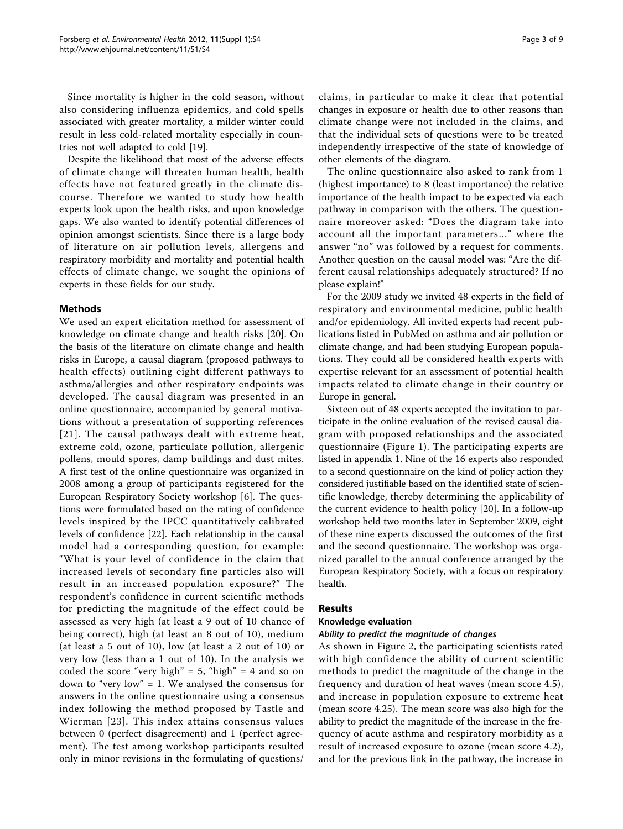Since mortality is higher in the cold season, without also considering influenza epidemics, and cold spells associated with greater mortality, a milder winter could result in less cold-related mortality especially in countries not well adapted to cold [\[19\]](#page-8-0).

Despite the likelihood that most of the adverse effects of climate change will threaten human health, health effects have not featured greatly in the climate discourse. Therefore we wanted to study how health experts look upon the health risks, and upon knowledge gaps. We also wanted to identify potential differences of opinion amongst scientists. Since there is a large body of literature on air pollution levels, allergens and respiratory morbidity and mortality and potential health effects of climate change, we sought the opinions of experts in these fields for our study.

# Methods

We used an expert elicitation method for assessment of knowledge on climate change and health risks [[20](#page-8-0)]. On the basis of the literature on climate change and health risks in Europe, a causal diagram (proposed pathways to health effects) outlining eight different pathways to asthma/allergies and other respiratory endpoints was developed. The causal diagram was presented in an online questionnaire, accompanied by general motivations without a presentation of supporting references [[21](#page-8-0)]. The causal pathways dealt with extreme heat, extreme cold, ozone, particulate pollution, allergenic pollens, mould spores, damp buildings and dust mites. A first test of the online questionnaire was organized in 2008 among a group of participants registered for the European Respiratory Society workshop [\[6](#page-7-0)]. The questions were formulated based on the rating of confidence levels inspired by the IPCC quantitatively calibrated levels of confidence [[22](#page-8-0)]. Each relationship in the causal model had a corresponding question, for example: "What is your level of confidence in the claim that increased levels of secondary fine particles also will result in an increased population exposure?" The respondent's confidence in current scientific methods for predicting the magnitude of the effect could be assessed as very high (at least a 9 out of 10 chance of being correct), high (at least an 8 out of 10), medium (at least a 5 out of 10), low (at least a 2 out of 10) or very low (less than a 1 out of 10). In the analysis we coded the score "very high" =  $5$ , "high" =  $4$  and so on down to "very  $low" = 1$ . We analysed the consensus for answers in the online questionnaire using a consensus index following the method proposed by Tastle and Wierman [[23\]](#page-8-0). This index attains consensus values between 0 (perfect disagreement) and 1 (perfect agreement). The test among workshop participants resulted only in minor revisions in the formulating of questions/

claims, in particular to make it clear that potential changes in exposure or health due to other reasons than climate change were not included in the claims, and that the individual sets of questions were to be treated independently irrespective of the state of knowledge of other elements of the diagram.

The online questionnaire also asked to rank from 1 (highest importance) to 8 (least importance) the relative importance of the health impact to be expected via each pathway in comparison with the others. The questionnaire moreover asked: "Does the diagram take into account all the important parameters…" where the answer "no" was followed by a request for comments. Another question on the causal model was: "Are the different causal relationships adequately structured? If no please explain!"

For the 2009 study we invited 48 experts in the field of respiratory and environmental medicine, public health and/or epidemiology. All invited experts had recent publications listed in PubMed on asthma and air pollution or climate change, and had been studying European populations. They could all be considered health experts with expertise relevant for an assessment of potential health impacts related to climate change in their country or Europe in general.

Sixteen out of 48 experts accepted the invitation to participate in the online evaluation of the revised causal diagram with proposed relationships and the associated questionnaire (Figure [1](#page-3-0)). The participating experts are listed in appendix 1. Nine of the 16 experts also responded to a second questionnaire on the kind of policy action they considered justifiable based on the identified state of scientific knowledge, thereby determining the applicability of the current evidence to health policy [[20\]](#page-8-0). In a follow-up workshop held two months later in September 2009, eight of these nine experts discussed the outcomes of the first and the second questionnaire. The workshop was organized parallel to the annual conference arranged by the European Respiratory Society, with a focus on respiratory health.

# Results

# Knowledge evaluation Ability to predict the magnitude of changes

As shown in Figure [2,](#page-4-0) the participating scientists rated with high confidence the ability of current scientific methods to predict the magnitude of the change in the frequency and duration of heat waves (mean score 4.5), and increase in population exposure to extreme heat (mean score 4.25). The mean score was also high for the ability to predict the magnitude of the increase in the frequency of acute asthma and respiratory morbidity as a result of increased exposure to ozone (mean score 4.2), and for the previous link in the pathway, the increase in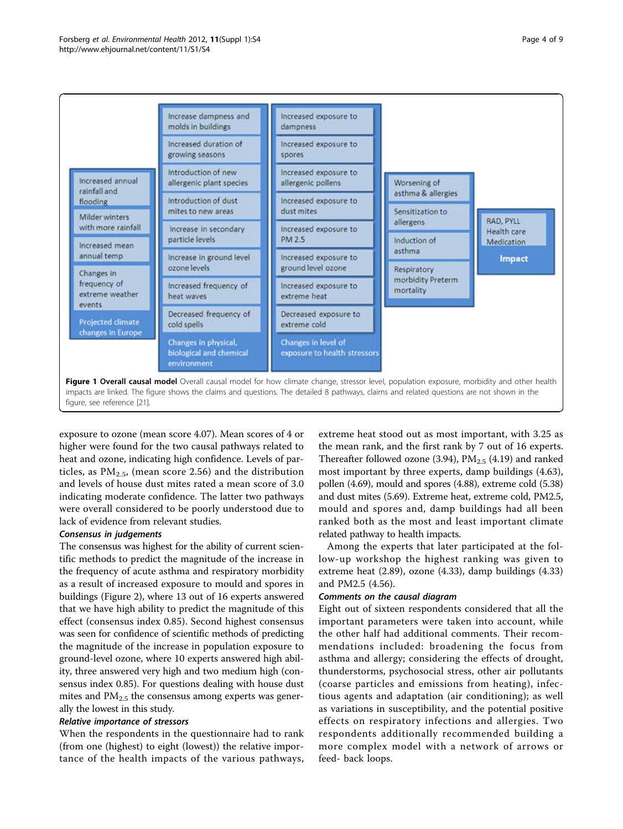<span id="page-3-0"></span>

exposure to ozone (mean score 4.07). Mean scores of 4 or higher were found for the two causal pathways related to heat and ozone, indicating high confidence. Levels of particles, as  $PM_{2.5}$ , (mean score 2.56) and the distribution and levels of house dust mites rated a mean score of 3.0 indicating moderate confidence. The latter two pathways were overall considered to be poorly understood due to lack of evidence from relevant studies.

# Consensus in judgements

The consensus was highest for the ability of current scientific methods to predict the magnitude of the increase in the frequency of acute asthma and respiratory morbidity as a result of increased exposure to mould and spores in buildings (Figure [2\)](#page-4-0), where 13 out of 16 experts answered that we have high ability to predict the magnitude of this effect (consensus index 0.85). Second highest consensus was seen for confidence of scientific methods of predicting the magnitude of the increase in population exposure to ground-level ozone, where 10 experts answered high ability, three answered very high and two medium high (consensus index 0.85). For questions dealing with house dust mites and  $PM<sub>2.5</sub>$  the consensus among experts was generally the lowest in this study.

# Relative importance of stressors

When the respondents in the questionnaire had to rank (from one (highest) to eight (lowest)) the relative importance of the health impacts of the various pathways,

extreme heat stood out as most important, with 3.25 as the mean rank, and the first rank by 7 out of 16 experts. Thereafter followed ozone (3.94),  $PM_{2.5}$  (4.19) and ranked most important by three experts, damp buildings (4.63), pollen (4.69), mould and spores (4.88), extreme cold (5.38) and dust mites (5.69). Extreme heat, extreme cold, PM2.5, mould and spores and, damp buildings had all been ranked both as the most and least important climate related pathway to health impacts.

Among the experts that later participated at the follow-up workshop the highest ranking was given to extreme heat (2.89), ozone (4.33), damp buildings (4.33) and PM2.5 (4.56).

# Comments on the causal diagram

Eight out of sixteen respondents considered that all the important parameters were taken into account, while the other half had additional comments. Their recommendations included: broadening the focus from asthma and allergy; considering the effects of drought, thunderstorms, psychosocial stress, other air pollutants (coarse particles and emissions from heating), infectious agents and adaptation (air conditioning); as well as variations in susceptibility, and the potential positive effects on respiratory infections and allergies. Two respondents additionally recommended building a more complex model with a network of arrows or feed- back loops.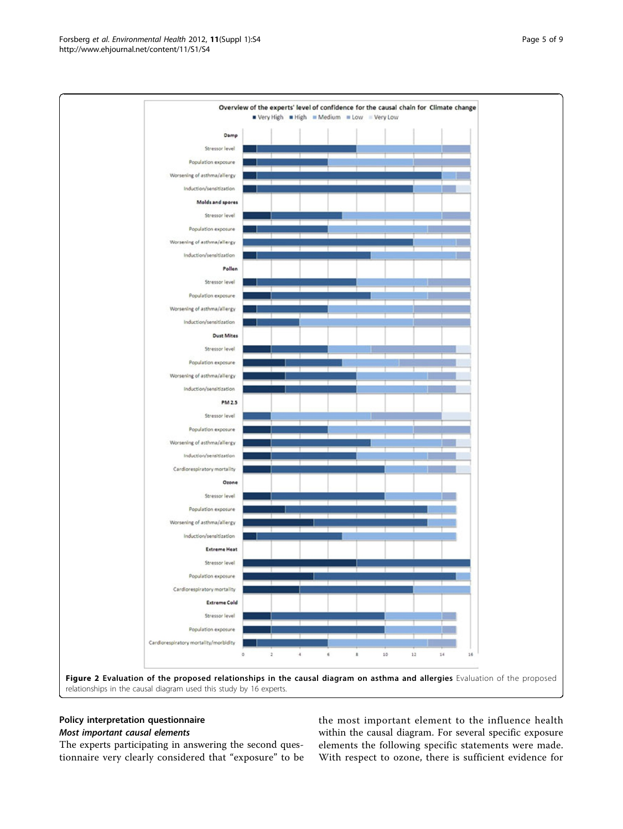<span id="page-4-0"></span>

# Policy interpretation questionnaire Most important causal elements

The experts participating in answering the second questionnaire very clearly considered that "exposure" to be the most important element to the influence health within the causal diagram. For several specific exposure elements the following specific statements were made. With respect to ozone, there is sufficient evidence for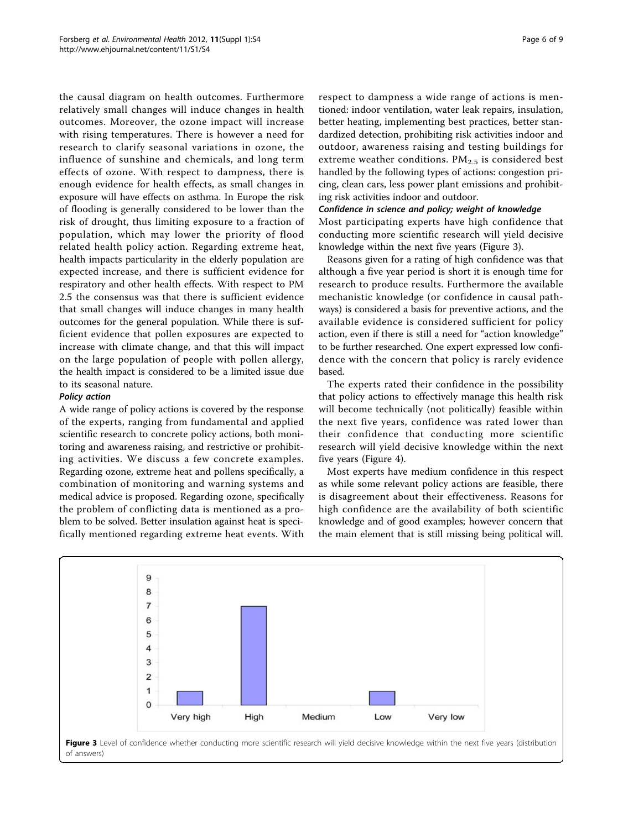the causal diagram on health outcomes. Furthermore relatively small changes will induce changes in health outcomes. Moreover, the ozone impact will increase with rising temperatures. There is however a need for research to clarify seasonal variations in ozone, the influence of sunshine and chemicals, and long term effects of ozone. With respect to dampness, there is enough evidence for health effects, as small changes in exposure will have effects on asthma. In Europe the risk of flooding is generally considered to be lower than the risk of drought, thus limiting exposure to a fraction of population, which may lower the priority of flood related health policy action. Regarding extreme heat, health impacts particularity in the elderly population are expected increase, and there is sufficient evidence for respiratory and other health effects. With respect to PM 2.5 the consensus was that there is sufficient evidence that small changes will induce changes in many health outcomes for the general population. While there is sufficient evidence that pollen exposures are expected to increase with climate change, and that this will impact on the large population of people with pollen allergy, the health impact is considered to be a limited issue due to its seasonal nature.

# Policy action

A wide range of policy actions is covered by the response of the experts, ranging from fundamental and applied scientific research to concrete policy actions, both monitoring and awareness raising, and restrictive or prohibiting activities. We discuss a few concrete examples. Regarding ozone, extreme heat and pollens specifically, a combination of monitoring and warning systems and medical advice is proposed. Regarding ozone, specifically the problem of conflicting data is mentioned as a problem to be solved. Better insulation against heat is specifically mentioned regarding extreme heat events. With

dardized detection, prohibiting risk activities indoor and outdoor, awareness raising and testing buildings for extreme weather conditions.  $PM_{2.5}$  is considered best handled by the following types of actions: congestion pricing, clean cars, less power plant emissions and prohibiting risk activities indoor and outdoor.

# Confidence in science and policy; weight of knowledge

Most participating experts have high confidence that conducting more scientific research will yield decisive knowledge within the next five years (Figure 3).

Reasons given for a rating of high confidence was that although a five year period is short it is enough time for research to produce results. Furthermore the available mechanistic knowledge (or confidence in causal pathways) is considered a basis for preventive actions, and the available evidence is considered sufficient for policy action, even if there is still a need for "action knowledge" to be further researched. One expert expressed low confidence with the concern that policy is rarely evidence based.

The experts rated their confidence in the possibility that policy actions to effectively manage this health risk will become technically (not politically) feasible within the next five years, confidence was rated lower than their confidence that conducting more scientific research will yield decisive knowledge within the next five years (Figure [4\)](#page-6-0).

Most experts have medium confidence in this respect as while some relevant policy actions are feasible, there is disagreement about their effectiveness. Reasons for high confidence are the availability of both scientific knowledge and of good examples; however concern that the main element that is still missing being political will.



Figure 3 Level of confidence whether conducting more scientific research will yield decisive knowledge within the next five years (distribution of answers)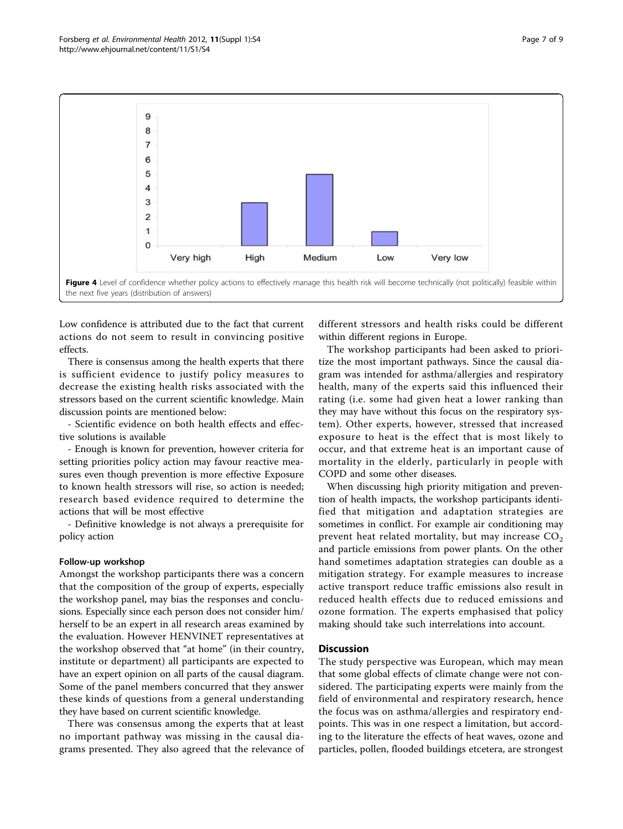<span id="page-6-0"></span>

Low confidence is attributed due to the fact that current actions do not seem to result in convincing positive effects.

There is consensus among the health experts that there is sufficient evidence to justify policy measures to decrease the existing health risks associated with the stressors based on the current scientific knowledge. Main discussion points are mentioned below:

- Scientific evidence on both health effects and effective solutions is available

- Enough is known for prevention, however criteria for setting priorities policy action may favour reactive measures even though prevention is more effective Exposure to known health stressors will rise, so action is needed; research based evidence required to determine the actions that will be most effective

- Definitive knowledge is not always a prerequisite for policy action

#### Follow-up workshop

Amongst the workshop participants there was a concern that the composition of the group of experts, especially the workshop panel, may bias the responses and conclusions. Especially since each person does not consider him/ herself to be an expert in all research areas examined by the evaluation. However HENVINET representatives at the workshop observed that "at home" (in their country, institute or department) all participants are expected to have an expert opinion on all parts of the causal diagram. Some of the panel members concurred that they answer these kinds of questions from a general understanding they have based on current scientific knowledge.

There was consensus among the experts that at least no important pathway was missing in the causal diagrams presented. They also agreed that the relevance of

different stressors and health risks could be different within different regions in Europe.

The workshop participants had been asked to prioritize the most important pathways. Since the causal diagram was intended for asthma/allergies and respiratory health, many of the experts said this influenced their rating (i.e. some had given heat a lower ranking than they may have without this focus on the respiratory system). Other experts, however, stressed that increased exposure to heat is the effect that is most likely to occur, and that extreme heat is an important cause of mortality in the elderly, particularly in people with COPD and some other diseases.

When discussing high priority mitigation and prevention of health impacts, the workshop participants identified that mitigation and adaptation strategies are sometimes in conflict. For example air conditioning may prevent heat related mortality, but may increase  $CO<sub>2</sub>$ and particle emissions from power plants. On the other hand sometimes adaptation strategies can double as a mitigation strategy. For example measures to increase active transport reduce traffic emissions also result in reduced health effects due to reduced emissions and ozone formation. The experts emphasised that policy making should take such interrelations into account.

# **Discussion**

The study perspective was European, which may mean that some global effects of climate change were not considered. The participating experts were mainly from the field of environmental and respiratory research, hence the focus was on asthma/allergies and respiratory endpoints. This was in one respect a limitation, but according to the literature the effects of heat waves, ozone and particles, pollen, flooded buildings etcetera, are strongest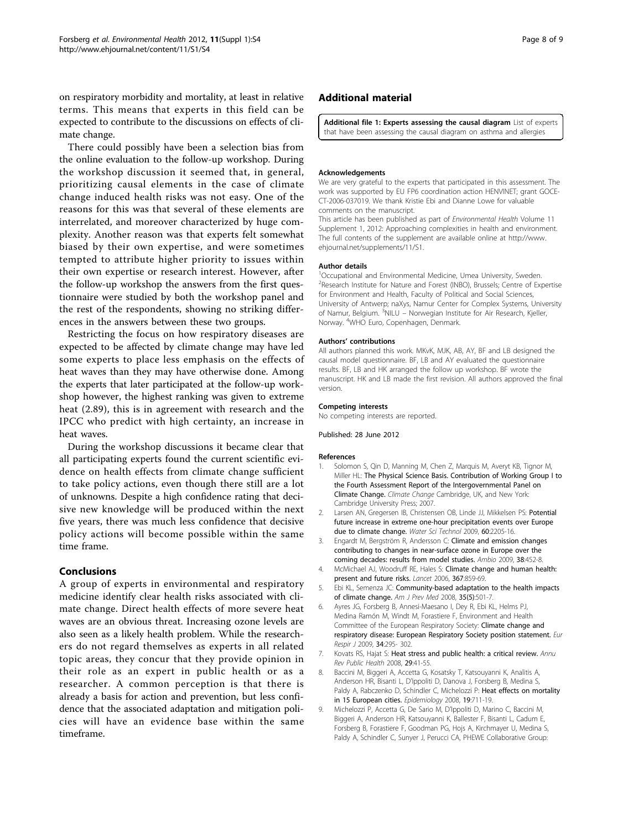<span id="page-7-0"></span>on respiratory morbidity and mortality, at least in relative terms. This means that experts in this field can be expected to contribute to the discussions on effects of climate change.

There could possibly have been a selection bias from the online evaluation to the follow-up workshop. During the workshop discussion it seemed that, in general, prioritizing causal elements in the case of climate change induced health risks was not easy. One of the reasons for this was that several of these elements are interrelated, and moreover characterized by huge complexity. Another reason was that experts felt somewhat biased by their own expertise, and were sometimes tempted to attribute higher priority to issues within their own expertise or research interest. However, after the follow-up workshop the answers from the first questionnaire were studied by both the workshop panel and the rest of the respondents, showing no striking differences in the answers between these two groups.

Restricting the focus on how respiratory diseases are expected to be affected by climate change may have led some experts to place less emphasis on the effects of heat waves than they may have otherwise done. Among the experts that later participated at the follow-up workshop however, the highest ranking was given to extreme heat (2.89), this is in agreement with research and the IPCC who predict with high certainty, an increase in heat waves.

During the workshop discussions it became clear that all participating experts found the current scientific evidence on health effects from climate change sufficient to take policy actions, even though there still are a lot of unknowns. Despite a high confidence rating that decisive new knowledge will be produced within the next five years, there was much less confidence that decisive policy actions will become possible within the same time frame.

# Conclusions

A group of experts in environmental and respiratory medicine identify clear health risks associated with climate change. Direct health effects of more severe heat waves are an obvious threat. Increasing ozone levels are also seen as a likely health problem. While the researchers do not regard themselves as experts in all related topic areas, they concur that they provide opinion in their role as an expert in public health or as a researcher. A common perception is that there is already a basis for action and prevention, but less confidence that the associated adaptation and mitigation policies will have an evidence base within the same timeframe.

### Additional material

[Additional file 1: E](http://www.biomedcentral.com/content/supplementary/1476-069X-11-S1-S4-S1.pdf)xperts assessing the causal diagram List of experts that have been assessing the causal diagram on asthma and allergies

#### Acknowledgements

We are very grateful to the experts that participated in this assessment. The work was supported by EU FP6 coordination action HENVINET; grant GOCE-CT-2006-037019. We thank Kristie Ebi and Dianne Lowe for valuable comments on the manuscript.

This article has been published as part of Environmental Health Volume 11 Supplement 1, 2012: Approaching complexities in health and environment. The full contents of the supplement are available online at [http://www.](http://www.ehjournal.net/supplements/11/S1) [ehjournal.net/supplements/11/S1](http://www.ehjournal.net/supplements/11/S1).

#### Author details

<sup>1</sup>Occupational and Environmental Medicine, Umea University, Sweden <sup>2</sup>Research Institute for Nature and Forest (INBO), Brussels; Centre of Expertise for Environment and Health, Faculty of Political and Social Sciences, University of Antwerp; naXys, Namur Center for Complex Systems, University of Namur, Belgium. <sup>3</sup>NILU - Norwegian Institute for Air Research, Kjeller, Norway. <sup>4</sup> WHO Euro, Copenhagen, Denmark.

#### Authors' contributions

All authors planned this work. MKvK, MJK, AB, AY, BF and LB designed the causal model questionnaire. BF, LB and AY evaluated the questionnaire results. BF, LB and HK arranged the follow up workshop. BF wrote the manuscript. HK and LB made the first revision. All authors approved the final version.

#### Competing interests

No competing interests are reported.

Published: 28 June 2012

#### References

- 1. Solomon S, Qin D, Manning M, Chen Z, Marquis M, Averyt KB, Tignor M, Miller HL: The Physical Science Basis. Contribution of Working Group I to the Fourth Assessment Report of the Intergovernmental Panel on Climate Change. Climate Change Cambridge, UK, and New York: Cambridge University Press; 2007.
- 2. Larsen AN, Gregersen IB, Christensen OB, Linde JJ, Mikkelsen PS: [Potential](http://www.ncbi.nlm.nih.gov/pubmed/19901451?dopt=Abstract) [future increase in extreme one-hour precipitation events over Europe](http://www.ncbi.nlm.nih.gov/pubmed/19901451?dopt=Abstract) [due to climate change.](http://www.ncbi.nlm.nih.gov/pubmed/19901451?dopt=Abstract) Water Sci Technol 2009, 60:2205-16.
- 3. Engardt M, Bergström R, Andersson C: [Climate and emission changes](http://www.ncbi.nlm.nih.gov/pubmed/20175446?dopt=Abstract) [contributing to changes in near-surface ozone in Europe over the](http://www.ncbi.nlm.nih.gov/pubmed/20175446?dopt=Abstract) [coming decades: results from model studies.](http://www.ncbi.nlm.nih.gov/pubmed/20175446?dopt=Abstract) Ambio 2009, 38:452-8.
- 4. McMichael AJ, Woodruff RE, Hales S: [Climate change and human health:](http://www.ncbi.nlm.nih.gov/pubmed/16530580?dopt=Abstract) [present and future risks.](http://www.ncbi.nlm.nih.gov/pubmed/16530580?dopt=Abstract) Lancet 2006, 367:859-69.
- 5. Ebi KL, Semenza JC: [Community-based adaptation to the health impacts](http://www.ncbi.nlm.nih.gov/pubmed/18929976?dopt=Abstract) [of climate change.](http://www.ncbi.nlm.nih.gov/pubmed/18929976?dopt=Abstract) Am J Prev Med 2008, 35(5):501-7.
- 6. Ayres JG, Forsberg B, Annesi-Maesano I, Dey R, Ebi KL, Helms PJ, Medina Ramón M, Windt M, Forastiere F, Environment and Health Committee of the European Respiratory Society: [Climate change and](http://www.ncbi.nlm.nih.gov/pubmed/19251790?dopt=Abstract) [respiratory disease: European Respiratory Society position statement.](http://www.ncbi.nlm.nih.gov/pubmed/19251790?dopt=Abstract) Eur Respir J 2009, 34:295- 302.
- 7. Kovats RS, Hajat S: [Heat stress and public health: a critical review.](http://www.ncbi.nlm.nih.gov/pubmed/18031221?dopt=Abstract) Annu Rev Public Health 2008, 29:41-55.
- 8. Baccini M, Biggeri A, Accetta G, Kosatsky T, Katsouyanni K, Analitis A, Anderson HR, Bisanti L, D'Ippoliti D, Danova J, Forsberg B, Medina S, Paldy A, Rabczenko D, Schindler C, Michelozzi P: [Heat effects on mortality](http://www.ncbi.nlm.nih.gov/pubmed/18520615?dopt=Abstract) [in 15 European cities.](http://www.ncbi.nlm.nih.gov/pubmed/18520615?dopt=Abstract) Epidemiology 2008, 19:711-19.
- 9. Michelozzi P, Accetta G, De Sario M, D'Ippoliti D, Marino C, Baccini M, Biggeri A, Anderson HR, Katsouyanni K, Ballester F, Bisanti L, Cadum E, Forsberg B, Forastiere F, Goodman PG, Hojs A, Kirchmayer U, Medina S, Paldy A, Schindler C, Sunyer J, Perucci CA, PHEWE Collaborative Group: